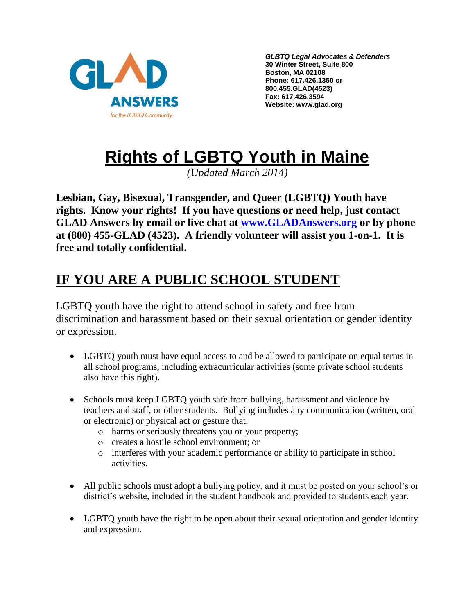

*GLBTQ Legal Advocates & Defenders* **30 Winter Street, Suite 800 Boston, MA 02108 Phone: 617.426.1350 or 800.455.GLAD(4523) Fax: 617.426.3594 Website: www.glad.org**

# **Rights of LGBTQ Youth in Maine**

*(Updated March 2014)*

**Lesbian, Gay, Bisexual, Transgender, and Queer (LGBTQ) Youth have rights. Know your rights! If you have questions or need help, just contact GLAD Answers by email or live chat at [www.GLADAnswers.org](http://www.gladanswers.org/) or by phone at (800) 455-GLAD (4523). A friendly volunteer will assist you 1-on-1. It is free and totally confidential.** 

# **IF YOU ARE A PUBLIC SCHOOL STUDENT**

LGBTQ youth have the right to attend school in safety and free from discrimination and harassment based on their sexual orientation or gender identity or expression.

- LGBTQ youth must have equal access to and be allowed to participate on equal terms in all school programs, including extracurricular activities (some private school students also have this right).
- Schools must keep LGBTQ youth safe from bullying, harassment and violence by teachers and staff, or other students. Bullying includes any communication (written, oral or electronic) or physical act or gesture that:
	- o harms or seriously threatens you or your property;
	- o creates a hostile school environment; or
	- o interferes with your academic performance or ability to participate in school activities.
- All public schools must adopt a bullying policy, and it must be posted on your school's or district's website, included in the student handbook and provided to students each year.
- LGBTQ youth have the right to be open about their sexual orientation and gender identity and expression.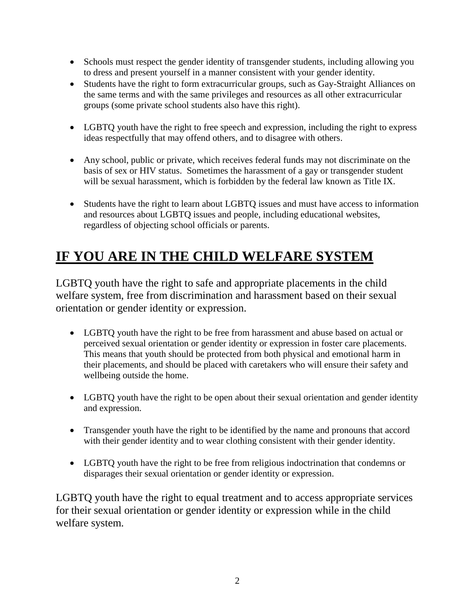- Schools must respect the gender identity of transgender students, including allowing you to dress and present yourself in a manner consistent with your gender identity.
- Students have the right to form extracurricular groups, such as Gay-Straight Alliances on the same terms and with the same privileges and resources as all other extracurricular groups (some private school students also have this right).
- LGBTQ youth have the right to free speech and expression, including the right to express ideas respectfully that may offend others, and to disagree with others.
- Any school, public or private, which receives federal funds may not discriminate on the basis of sex or HIV status. Sometimes the harassment of a gay or transgender student will be sexual harassment, which is forbidden by the federal law known as Title IX.
- Students have the right to learn about LGBTQ issues and must have access to information and resources about LGBTQ issues and people, including educational websites, regardless of objecting school officials or parents.

# **IF YOU ARE IN THE CHILD WELFARE SYSTEM**

LGBTQ youth have the right to safe and appropriate placements in the child welfare system, free from discrimination and harassment based on their sexual orientation or gender identity or expression.

- LGBTQ youth have the right to be free from harassment and abuse based on actual or perceived sexual orientation or gender identity or expression in foster care placements. This means that youth should be protected from both physical and emotional harm in their placements, and should be placed with caretakers who will ensure their safety and wellbeing outside the home.
- LGBTQ youth have the right to be open about their sexual orientation and gender identity and expression.
- Transgender youth have the right to be identified by the name and pronouns that accord with their gender identity and to wear clothing consistent with their gender identity.
- LGBTQ youth have the right to be free from religious indoctrination that condemns or disparages their sexual orientation or gender identity or expression.

LGBTQ youth have the right to equal treatment and to access appropriate services for their sexual orientation or gender identity or expression while in the child welfare system.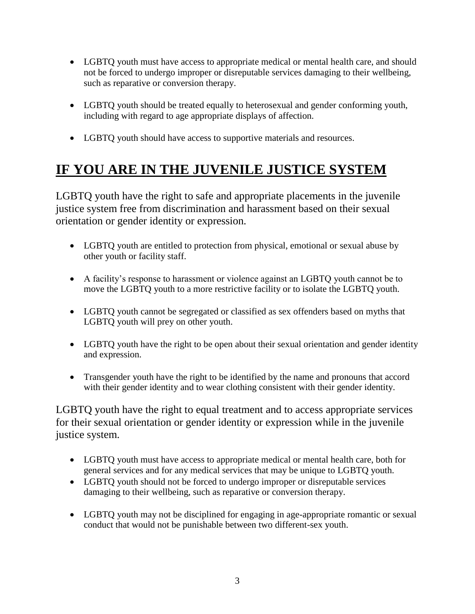- LGBTQ youth must have access to appropriate medical or mental health care, and should not be forced to undergo improper or disreputable services damaging to their wellbeing, such as reparative or conversion therapy.
- LGBTQ youth should be treated equally to heterosexual and gender conforming youth, including with regard to age appropriate displays of affection.
- LGBTQ youth should have access to supportive materials and resources.

# **IF YOU ARE IN THE JUVENILE JUSTICE SYSTEM**

LGBTQ youth have the right to safe and appropriate placements in the juvenile justice system free from discrimination and harassment based on their sexual orientation or gender identity or expression.

- LGBTQ youth are entitled to protection from physical, emotional or sexual abuse by other youth or facility staff.
- A facility's response to harassment or violence against an LGBTQ youth cannot be to move the LGBTQ youth to a more restrictive facility or to isolate the LGBTQ youth.
- LGBTQ youth cannot be segregated or classified as sex offenders based on myths that LGBTQ youth will prey on other youth.
- LGBTQ youth have the right to be open about their sexual orientation and gender identity and expression.
- Transgender youth have the right to be identified by the name and pronouns that accord with their gender identity and to wear clothing consistent with their gender identity.

LGBTQ youth have the right to equal treatment and to access appropriate services for their sexual orientation or gender identity or expression while in the juvenile justice system.

- LGBTQ youth must have access to appropriate medical or mental health care, both for general services and for any medical services that may be unique to LGBTQ youth.
- LGBTQ youth should not be forced to undergo improper or disreputable services damaging to their wellbeing, such as reparative or conversion therapy.
- LGBTQ youth may not be disciplined for engaging in age-appropriate romantic or sexual conduct that would not be punishable between two different-sex youth.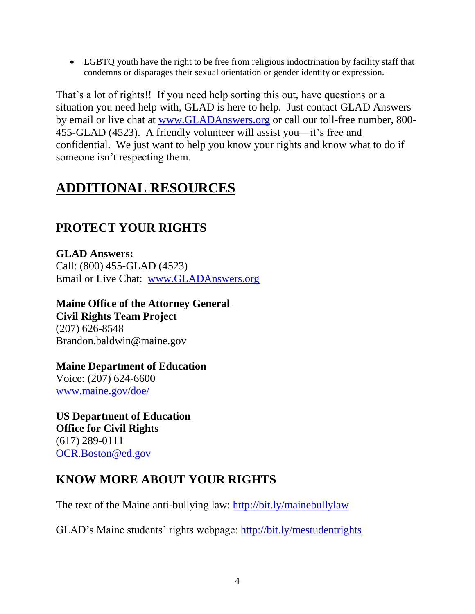LGBTQ youth have the right to be free from religious indoctrination by facility staff that condemns or disparages their sexual orientation or gender identity or expression.

That's a lot of rights!! If you need help sorting this out, have questions or a situation you need help with, GLAD is here to help. Just contact GLAD Answers by email or live chat at [www.GLADAnswers.org](http://www.gladanswers.org/) or call our toll-free number, 800- 455-GLAD (4523). A friendly volunteer will assist you—it's free and confidential. We just want to help you know your rights and know what to do if someone isn't respecting them.

# **ADDITIONAL RESOURCES**

### **PROTECT YOUR RIGHTS**

**GLAD Answers:** Call: (800) 455-GLAD (4523) Email or Live Chat: [www.GLADAnswers.org](http://www.gladanswers.org/)

**Maine Office of the Attorney General Civil Rights Team Project** (207) 626-8548 Brandon.baldwin@maine.gov

**Maine Department of Education**  Voice: (207) 624-6600 [www.maine.gov/doe/](http://www.maine.gov/doe/)

**US Department of Education Office for Civil Rights** (617) 289-0111 [OCR.Boston@ed.gov](mailto:OCR.Boston@ed.gov) 

### **KNOW MORE ABOUT YOUR RIGHTS**

The text of the Maine anti-bullying law:<http://bit.ly/mainebullylaw>

GLAD's Maine students' rights webpage:<http://bit.ly/mestudentrights>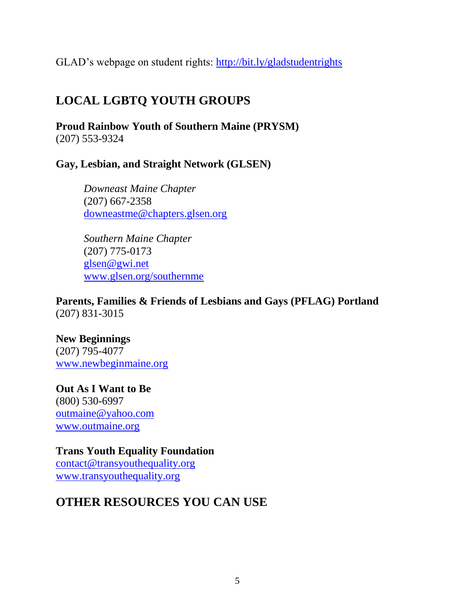GLAD's webpage on student rights:<http://bit.ly/gladstudentrights>

### **LOCAL LGBTQ YOUTH GROUPS**

**Proud Rainbow Youth of Southern Maine (PRYSM)** (207) 553-9324

#### **Gay, Lesbian, and Straight Network (GLSEN)**

*Downeast Maine Chapter* (207) 667-2358 [downeastme@chapters.glsen.org](mailto:downeastme@chapters.glsen.org)

*Southern Maine Chapter* (207) 775-0173 [glsen@gwi.net](mailto:glsen@gwi.net) [www.glsen.org/southernme](http://www.glsen.org/southernme)

**Parents, Families & Friends of Lesbians and Gays (PFLAG) Portland** (207) 831-3015

#### **New Beginnings**

(207) 795-4077 [www.newbeginmaine.org](http://www.newbeginmaine.org/)

**Out As I Want to Be** (800) 530-6997 [outmaine@yahoo.com](mailto:outmaine@yahoo.com) [www.outmaine.org](http://www.outmaine.org/)

**Trans Youth Equality Foundation** [contact@transyouthequality.org](mailto:contact@transyouthequality.org) [www.transyouthequality.org](http://www.transyouthequality.org/) 

### **OTHER RESOURCES YOU CAN USE**